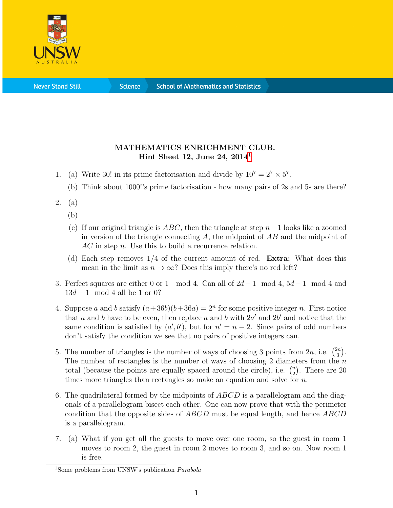

**Science** 

## MATHEMATICS ENRICHMENT CLUB. Hint Sheet [1](#page-0-0)2, June 24,  $2014^1$

- 1. (a) Write 30! in its prime factorisation and divide by  $10^7 = 2^7 \times 5^7$ .
	- (b) Think about 1000!'s prime factorisation how many pairs of 2s and 5s are there?
- 2. (a)
	- (b)
	- (c) If our original triangle is  $ABC$ , then the triangle at step  $n-1$  looks like a zoomed in version of the triangle connecting  $A$ , the midpoint of  $AB$  and the midpoint of AC in step n. Use this to build a recurrence relation.
	- (d) Each step removes  $1/4$  of the current amount of red. **Extra:** What does this mean in the limit as  $n \to \infty$ ? Does this imply there's no red left?
- 3. Perfect squares are either 0 or 1 mod 4. Can all of  $2d-1 \mod 4$ ,  $5d-1 \mod 4$  and  $13d - 1 \mod 4$  all be 1 or 0?
- 4. Suppose a and b satisfy  $(a+36b)(b+36a) = 2<sup>n</sup>$  for some positive integer n. First notice that a and b have to be even, then replace a and b with  $2a'$  and  $2b'$  and notice that the same condition is satisfied by  $(a', b')$ , but for  $n' = n - 2$ . Since pairs of odd numbers don't satisfy the condition we see that no pairs of positive integers can.
- 5. The number of triangles is the number of ways of choosing 3 points from  $2n$ , i.e.  $\binom{2n}{3}$  $\binom{2n}{3}$ . The number of rectangles is the number of ways of choosing 2 diameters from the  $n$ total (because the points are equally spaced around the circle), i.e.  $\binom{n}{2}$  $n \choose 2$ . There are 20 times more triangles than rectangles so make an equation and solve for  $n$ .
- 6. The quadrilateral formed by the midpoints of  $ABCD$  is a parallelogram and the diagonals of a parallelogram bisect each other. One can now prove that with the perimeter condition that the opposite sides of  $ABCD$  must be equal length, and hence  $ABCD$ is a parallelogram.
- 7. (a) What if you get all the guests to move over one room, so the guest in room 1 moves to room 2, the guest in room 2 moves to room 3, and so on. Now room 1 is free.

<span id="page-0-0"></span><sup>1</sup>Some problems from UNSW's publication Parabola